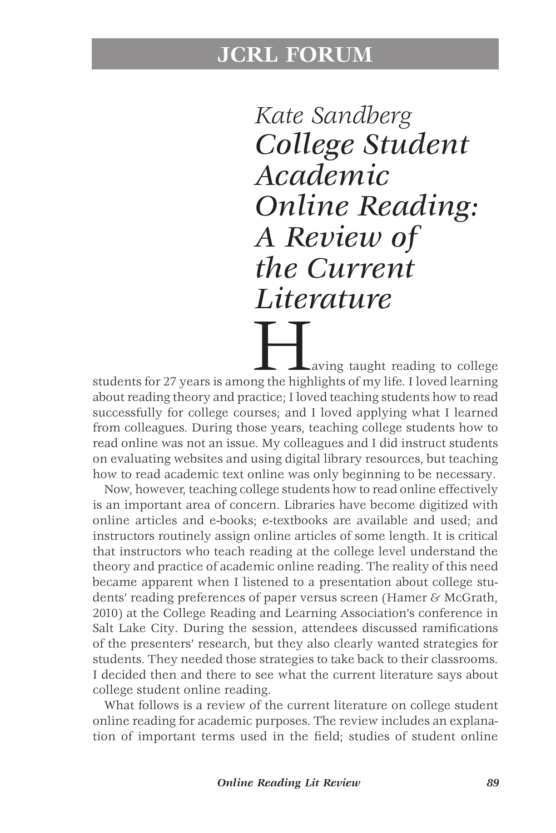*Kate Sandberg College Student Academic Online Reading: A Review of the Current Literature*

aving taught reading to college students for 27 years is among the highlights of my life. I loved learning about reading theory and practice; I loved teaching students how to read successfully for college courses; and I loved applying what I learned from colleagues. During those years, teaching college students how to read online was not an issue. My colleagues and I did instruct students on evaluating websites and using digital library resources, but teaching how to read academic text online was only beginning to be necessary.

Now, however, teaching college students how to read online effectively is an important area of concern. Libraries have become digitized with online articles and e-books; e-textbooks are available and used; and instructors routinely assign online articles of some length. It is critical that instructors who teach reading at the college level understand the theory and practice of academic online reading. The reality of this need became apparent when I listened to a presentation about college students' reading preferences of paper versus screen (Hamer & McGrath, 2010) at the College Reading and Learning Association's conference in Salt Lake City. During the session, attendees discussed ramifications of the presenters' research, but they also clearly wanted strategies for students. They needed those strategies to take back to their classrooms. I decided then and there to see what the current literature says about college student online reading.

What follows is a review of the current literature on college student online reading for academic purposes. The review includes an explanation of important terms used in the field; studies of student online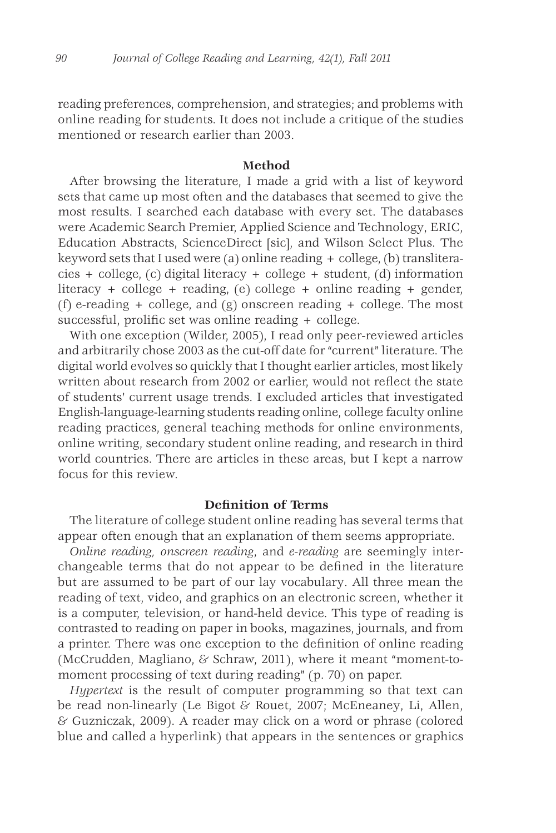reading preferences, comprehension, and strategies; and problems with online reading for students. It does not include a critique of the studies mentioned or research earlier than 2003.

#### **Method**

After browsing the literature, I made a grid with a list of keyword sets that came up most often and the databases that seemed to give the most results. I searched each database with every set. The databases were Academic Search Premier, Applied Science and Technology, ERIC, Education Abstracts, ScienceDirect [sic], and Wilson Select Plus. The keyword sets that I used were (a) online reading + college, (b) transliteracies + college, (c) digital literacy + college + student, (d) information literacy + college + reading, (e) college + online reading + gender, (f) e-reading + college, and (g) onscreen reading + college. The most successful, prolific set was online reading + college.

With one exception (Wilder, 2005), I read only peer-reviewed articles and arbitrarily chose 2003 as the cut-off date for "current" literature. The digital world evolves so quickly that I thought earlier articles, most likely written about research from 2002 or earlier, would not reflect the state of students' current usage trends. I excluded articles that investigated English-language-learning students reading online, college faculty online reading practices, general teaching methods for online environments, online writing, secondary student online reading, and research in third world countries. There are articles in these areas, but I kept a narrow focus for this review.

#### **Definition of Terms**

The literature of college student online reading has several terms that appear often enough that an explanation of them seems appropriate.

*Online reading, onscreen reading*, and *e-reading* are seemingly interchangeable terms that do not appear to be defined in the literature but are assumed to be part of our lay vocabulary. All three mean the reading of text, video, and graphics on an electronic screen, whether it is a computer, television, or hand-held device. This type of reading is contrasted to reading on paper in books, magazines, journals, and from a printer. There was one exception to the definition of online reading (McCrudden, Magliano, & Schraw, 2011), where it meant "moment-tomoment processing of text during reading" (p. 70) on paper.

*Hypertext* is the result of computer programming so that text can be read non-linearly (Le Bigot & Rouet, 2007; McEneaney, Li, Allen, & Guzniczak, 2009). A reader may click on a word or phrase (colored blue and called a hyperlink) that appears in the sentences or graphics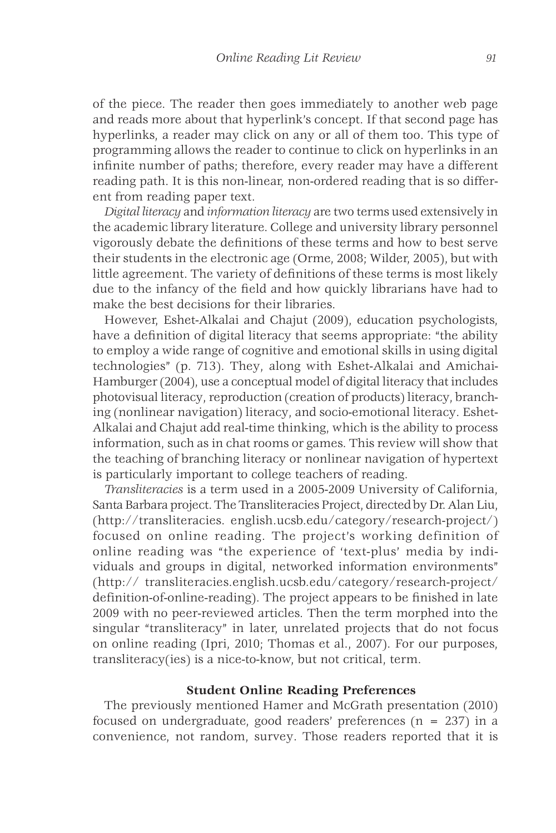of the piece. The reader then goes immediately to another web page and reads more about that hyperlink's concept. If that second page has hyperlinks, a reader may click on any or all of them too. This type of programming allows the reader to continue to click on hyperlinks in an infinite number of paths; therefore, every reader may have a different reading path. It is this non-linear, non-ordered reading that is so different from reading paper text.

*Digital literacy* and *information literacy* are two terms used extensively in the academic library literature. College and university library personnel vigorously debate the definitions of these terms and how to best serve their students in the electronic age (Orme, 2008; Wilder, 2005), but with little agreement. The variety of definitions of these terms is most likely due to the infancy of the field and how quickly librarians have had to make the best decisions for their libraries.

However, Eshet-Alkalai and Chajut (2009), education psychologists, have a definition of digital literacy that seems appropriate: "the ability to employ a wide range of cognitive and emotional skills in using digital technologies" (p. 713). They, along with Eshet-Alkalai and Amichai-Hamburger (2004), use a conceptual model of digital literacy that includes photovisual literacy, reproduction (creation of products) literacy, branching (nonlinear navigation) literacy, and socio-emotional literacy. Eshet-Alkalai and Chajut add real-time thinking, which is the ability to process information, such as in chat rooms or games. This review will show that the teaching of branching literacy or nonlinear navigation of hypertext is particularly important to college teachers of reading.

*Transliteracies* is a term used in a 2005-2009 University of California, Santa Barbara project. The Transliteracies Project, directed by Dr. Alan Liu, (http://transliteracies. english.ucsb.edu/category/research-project/) focused on online reading. The project's working definition of online reading was "the experience of 'text-plus' media by individuals and groups in digital, networked information environments" (http:// transliteracies.english.ucsb.edu/category/research-project/ definition-of-online-reading). The project appears to be finished in late 2009 with no peer-reviewed articles. Then the term morphed into the singular "transliteracy" in later, unrelated projects that do not focus on online reading (Ipri, 2010; Thomas et al., 2007). For our purposes, transliteracy(ies) is a nice-to-know, but not critical, term.

### **Student Online Reading Preferences**

The previously mentioned Hamer and McGrath presentation (2010) focused on undergraduate, good readers' preferences  $(n = 237)$  in a convenience, not random, survey. Those readers reported that it is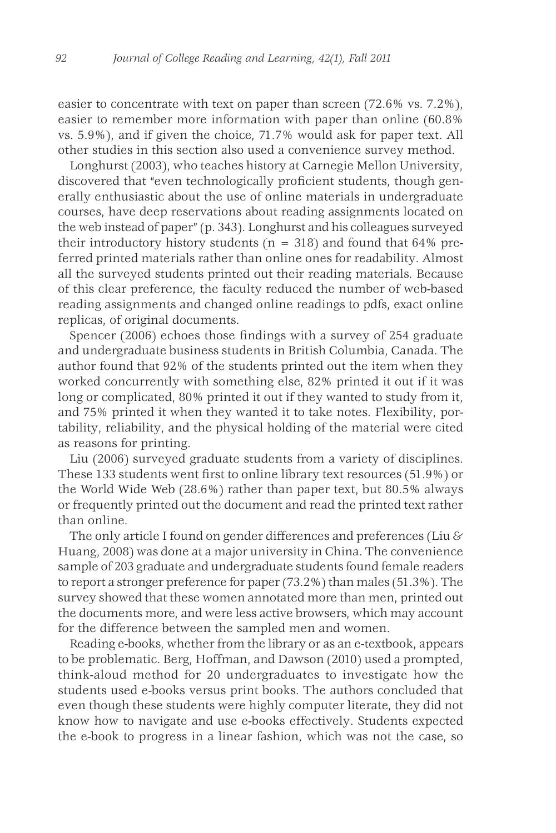easier to concentrate with text on paper than screen (72.6% vs. 7.2%), easier to remember more information with paper than online (60.8% vs. 5.9%), and if given the choice, 71.7% would ask for paper text. All other studies in this section also used a convenience survey method.

Longhurst (2003), who teaches history at Carnegie Mellon University, discovered that "even technologically proficient students, though generally enthusiastic about the use of online materials in undergraduate courses, have deep reservations about reading assignments located on the web instead of paper" (p. 343). Longhurst and his colleagues surveyed their introductory history students ( $n = 318$ ) and found that 64% preferred printed materials rather than online ones for readability. Almost all the surveyed students printed out their reading materials. Because of this clear preference, the faculty reduced the number of web-based reading assignments and changed online readings to pdfs, exact online replicas, of original documents.

Spencer (2006) echoes those findings with a survey of 254 graduate and undergraduate business students in British Columbia, Canada. The author found that 92% of the students printed out the item when they worked concurrently with something else, 82% printed it out if it was long or complicated, 80% printed it out if they wanted to study from it, and 75% printed it when they wanted it to take notes. Flexibility, portability, reliability, and the physical holding of the material were cited as reasons for printing.

Liu (2006) surveyed graduate students from a variety of disciplines. These 133 students went first to online library text resources (51.9%) or the World Wide Web (28.6%) rather than paper text, but 80.5% always or frequently printed out the document and read the printed text rather than online.

The only article I found on gender differences and preferences (Liu  $\&$ Huang, 2008) was done at a major university in China. The convenience sample of 203 graduate and undergraduate students found female readers to report a stronger preference for paper (73.2%) than males (51.3%). The survey showed that these women annotated more than men, printed out the documents more, and were less active browsers, which may account for the difference between the sampled men and women.

Reading e-books, whether from the library or as an e-textbook, appears to be problematic. Berg, Hoffman, and Dawson (2010) used a prompted, think-aloud method for 20 undergraduates to investigate how the students used e-books versus print books. The authors concluded that even though these students were highly computer literate, they did not know how to navigate and use e-books effectively. Students expected the e-book to progress in a linear fashion, which was not the case, so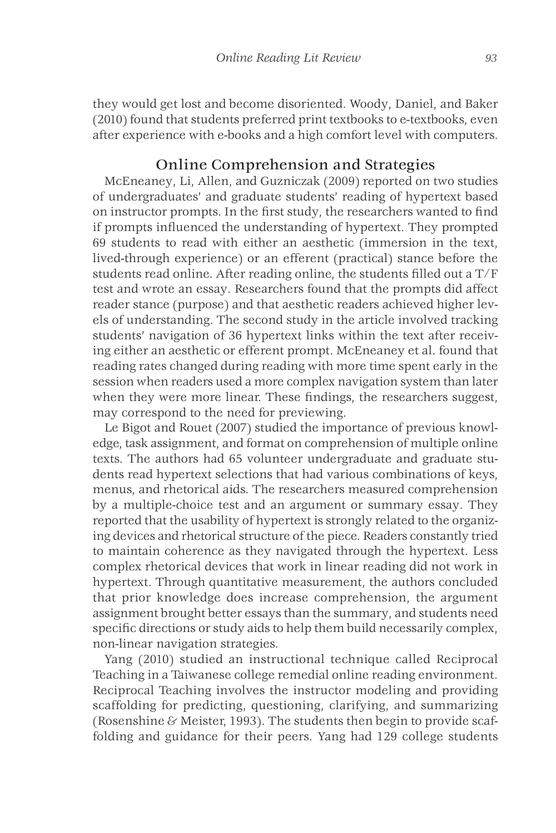they would get lost and become disoriented. Woody, Daniel, and Baker (2010) found that students preferred print textbooks to e-textbooks, even after experience with e-books and a high comfort level with computers.

# Online Comprehension and Strategies

McEneaney, Li, Allen, and Guzniczak (2009) reported on two studies of undergraduates' and graduate students' reading of hypertext based on instructor prompts. In the first study, the researchers wanted to find if prompts influenced the understanding of hypertext. They prompted 69 students to read with either an aesthetic (immersion in the text, lived-through experience) or an efferent (practical) stance before the students read online. After reading online, the students filled out a T/F test and wrote an essay. Researchers found that the prompts did affect reader stance (purpose) and that aesthetic readers achieved higher levels of understanding. The second study in the article involved tracking students' navigation of 36 hypertext links within the text after receiving either an aesthetic or efferent prompt. McEneaney et al. found that reading rates changed during reading with more time spent early in the session when readers used a more complex navigation system than later when they were more linear. These findings, the researchers suggest, may correspond to the need for previewing.

Le Bigot and Rouet (2007) studied the importance of previous knowledge, task assignment, and format on comprehension of multiple online texts. The authors had 65 volunteer undergraduate and graduate students read hypertext selections that had various combinations of keys, menus, and rhetorical aids. The researchers measured comprehension by a multiple-choice test and an argument or summary essay. They reported that the usability of hypertext is strongly related to the organizing devices and rhetorical structure of the piece. Readers constantly tried to maintain coherence as they navigated through the hypertext. Less complex rhetorical devices that work in linear reading did not work in hypertext. Through quantitative measurement, the authors concluded that prior knowledge does increase comprehension, the argument assignment brought better essays than the summary, and students need specific directions or study aids to help them build necessarily complex, non-linear navigation strategies.

Yang (2010) studied an instructional technique called Reciprocal Teaching in a Taiwanese college remedial online reading environment. Reciprocal Teaching involves the instructor modeling and providing scaffolding for predicting, questioning, clarifying, and summarizing (Rosenshine & Meister, 1993). The students then begin to provide scaffolding and guidance for their peers. Yang had 129 college students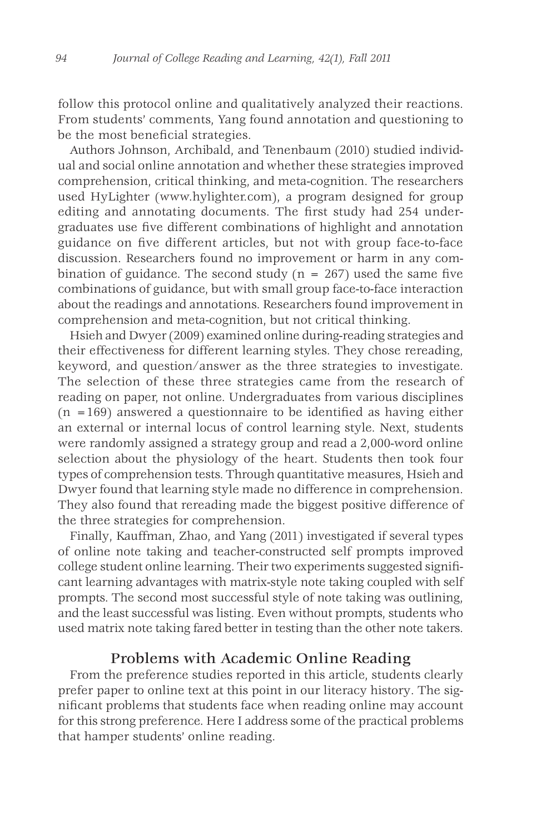follow this protocol online and qualitatively analyzed their reactions. From students' comments, Yang found annotation and questioning to be the most beneficial strategies.

Authors Johnson, Archibald, and Tenenbaum (2010) studied individual and social online annotation and whether these strategies improved comprehension, critical thinking, and meta-cognition. The researchers used HyLighter (www.hylighter.com), a program designed for group editing and annotating documents. The first study had 254 undergraduates use five different combinations of highlight and annotation guidance on five different articles, but not with group face-to-face discussion. Researchers found no improvement or harm in any combination of guidance. The second study  $(n = 267)$  used the same five combinations of guidance, but with small group face-to-face interaction about the readings and annotations. Researchers found improvement in comprehension and meta-cognition, but not critical thinking.

Hsieh and Dwyer (2009) examined online during-reading strategies and their effectiveness for different learning styles. They chose rereading, keyword, and question/answer as the three strategies to investigate. The selection of these three strategies came from the research of reading on paper, not online. Undergraduates from various disciplines  $(n = 169)$  answered a questionnaire to be identified as having either an external or internal locus of control learning style. Next, students were randomly assigned a strategy group and read a 2,000-word online selection about the physiology of the heart. Students then took four types of comprehension tests. Through quantitative measures, Hsieh and Dwyer found that learning style made no difference in comprehension. They also found that rereading made the biggest positive difference of the three strategies for comprehension.

Finally, Kauffman, Zhao, and Yang (2011) investigated if several types of online note taking and teacher-constructed self prompts improved college student online learning. Their two experiments suggested significant learning advantages with matrix-style note taking coupled with self prompts. The second most successful style of note taking was outlining, and the least successful was listing. Even without prompts, students who used matrix note taking fared better in testing than the other note takers.

## Problems with Academic Online Reading

From the preference studies reported in this article, students clearly prefer paper to online text at this point in our literacy history. The significant problems that students face when reading online may account for this strong preference. Here I address some of the practical problems that hamper students' online reading.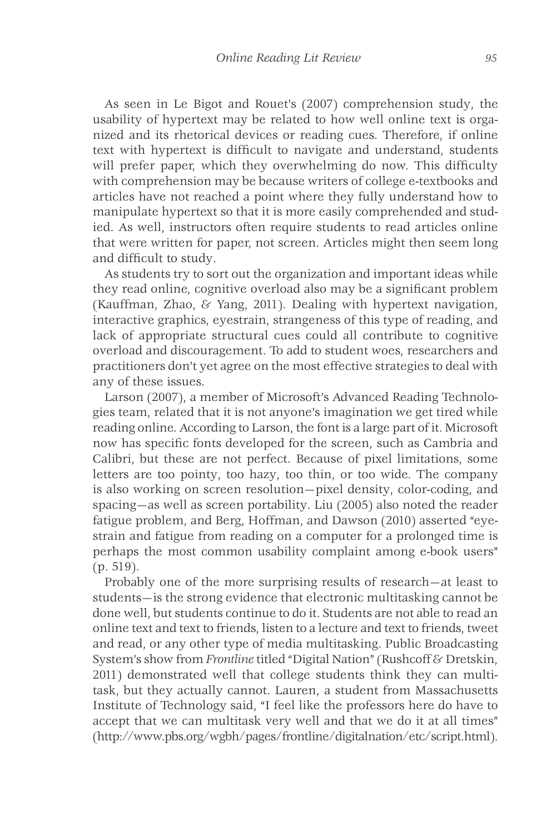As seen in Le Bigot and Rouet's (2007) comprehension study, the usability of hypertext may be related to how well online text is organized and its rhetorical devices or reading cues. Therefore, if online text with hypertext is difficult to navigate and understand, students will prefer paper, which they overwhelming do now. This difficulty with comprehension may be because writers of college e-textbooks and articles have not reached a point where they fully understand how to manipulate hypertext so that it is more easily comprehended and studied. As well, instructors often require students to read articles online that were written for paper, not screen. Articles might then seem long and difficult to study.

As students try to sort out the organization and important ideas while they read online, cognitive overload also may be a significant problem (Kauffman, Zhao, & Yang, 2011). Dealing with hypertext navigation, interactive graphics, eyestrain, strangeness of this type of reading, and lack of appropriate structural cues could all contribute to cognitive overload and discouragement. To add to student woes, researchers and practitioners don't yet agree on the most effective strategies to deal with any of these issues.

Larson (2007), a member of Microsoft's Advanced Reading Technologies team, related that it is not anyone's imagination we get tired while reading online. According to Larson, the font is a large part of it. Microsoft now has specific fonts developed for the screen, such as Cambria and Calibri, but these are not perfect. Because of pixel limitations, some letters are too pointy, too hazy, too thin, or too wide. The company is also working on screen resolution—pixel density, color-coding, and spacing—as well as screen portability. Liu (2005) also noted the reader fatigue problem, and Berg, Hoffman, and Dawson (2010) asserted "eyestrain and fatigue from reading on a computer for a prolonged time is perhaps the most common usability complaint among e-book users" (p. 519).

Probably one of the more surprising results of research—at least to students—is the strong evidence that electronic multitasking cannot be done well, but students continue to do it. Students are not able to read an online text and text to friends, listen to a lecture and text to friends, tweet and read, or any other type of media multitasking. Public Broadcasting System's show from *Frontline* titled "Digital Nation" (Rushcoff & Dretskin, 2011) demonstrated well that college students think they can multitask, but they actually cannot. Lauren, a student from Massachusetts Institute of Technology said, "I feel like the professors here do have to accept that we can multitask very well and that we do it at all times" (http://www.pbs.org/wgbh/pages/frontline/digitalnation/etc/script.html).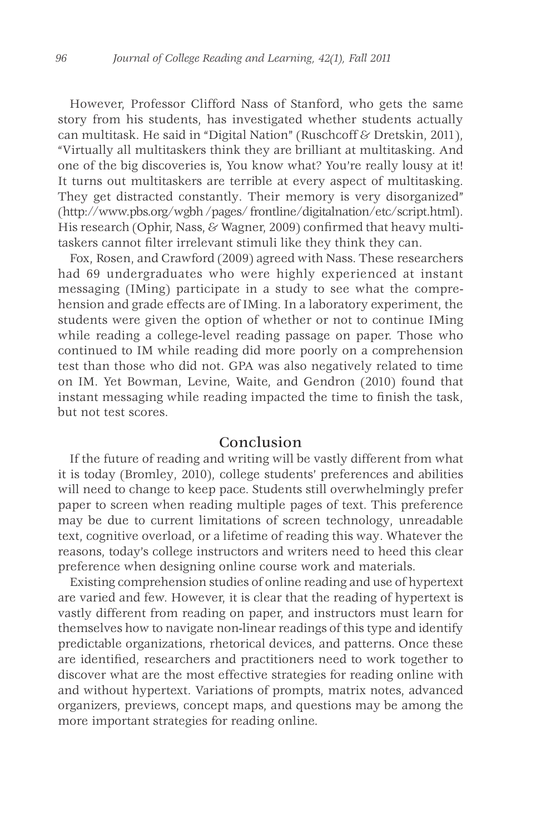However, Professor Clifford Nass of Stanford, who gets the same story from his students, has investigated whether students actually can multitask. He said in "Digital Nation" (Ruschcoff & Dretskin, 2011), "Virtually all multitaskers think they are brilliant at multitasking. And one of the big discoveries is, You know what? You're really lousy at it! It turns out multitaskers are terrible at every aspect of multitasking. They get distracted constantly. Their memory is very disorganized" (http://www.pbs.org/wgbh /pages/ frontline/digitalnation/etc/script.html). His research (Ophir, Nass, & Wagner, 2009) confirmed that heavy multitaskers cannot filter irrelevant stimuli like they think they can.

Fox, Rosen, and Crawford (2009) agreed with Nass. These researchers had 69 undergraduates who were highly experienced at instant messaging (IMing) participate in a study to see what the comprehension and grade effects are of IMing. In a laboratory experiment, the students were given the option of whether or not to continue IMing while reading a college-level reading passage on paper. Those who continued to IM while reading did more poorly on a comprehension test than those who did not. GPA was also negatively related to time on IM. Yet Bowman, Levine, Waite, and Gendron (2010) found that instant messaging while reading impacted the time to finish the task, but not test scores.

### Conclusion

If the future of reading and writing will be vastly different from what it is today (Bromley, 2010), college students' preferences and abilities will need to change to keep pace. Students still overwhelmingly prefer paper to screen when reading multiple pages of text. This preference may be due to current limitations of screen technology, unreadable text, cognitive overload, or a lifetime of reading this way. Whatever the reasons, today's college instructors and writers need to heed this clear preference when designing online course work and materials.

Existing comprehension studies of online reading and use of hypertext are varied and few. However, it is clear that the reading of hypertext is vastly different from reading on paper, and instructors must learn for themselves how to navigate non-linear readings of this type and identify predictable organizations, rhetorical devices, and patterns. Once these are identified, researchers and practitioners need to work together to discover what are the most effective strategies for reading online with and without hypertext. Variations of prompts, matrix notes, advanced organizers, previews, concept maps, and questions may be among the more important strategies for reading online.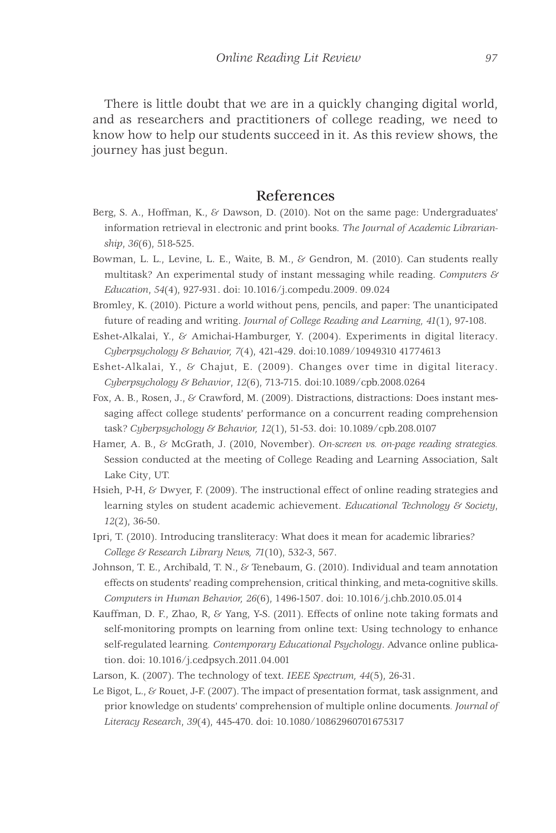There is little doubt that we are in a quickly changing digital world, and as researchers and practitioners of college reading, we need to know how to help our students succeed in it. As this review shows, the journey has just begun.

## References

- Berg, S. A., Hoffman, K., & Dawson, D. (2010). Not on the same page: Undergraduates' information retrieval in electronic and print books. *The Journal of Academic Librarianship*, *36*(6), 518-525.
- Bowman, L. L., Levine, L. E., Waite, B. M., & Gendron, M. (2010). Can students really multitask? An experimental study of instant messaging while reading. *Computers & Education*, *54*(4), 927-931. doi: 10.1016/j.compedu.2009. 09.024
- Bromley, K. (2010). Picture a world without pens, pencils, and paper: The unanticipated future of reading and writing. *Journal of College Reading and Learning, 41*(1), 97-108.
- Eshet-Alkalai, Y., & Amichai-Hamburger, Y. (2004). Experiments in digital literacy. *Cyberpsychology & Behavior, 7*(4), 421-429. doi:10.1089/10949310 41774613
- Eshet-Alkalai, Y., & Chajut, E. (2009). Changes over time in digital literacy. *Cyberpsychology & Behavior*, *12*(6), 713-715. doi:10.1089/cpb.2008.0264
- Fox, A. B., Rosen, J., & Crawford, M. (2009). Distractions, distractions: Does instant messaging affect college students' performance on a concurrent reading comprehension task? *Cyberpsychology & Behavior, 12*(1), 51-53. doi: 10.1089/cpb.208.0107
- Hamer, A. B., & McGrath, J. (2010, November). *On-screen vs. on-page reading strategies.*  Session conducted at the meeting of College Reading and Learning Association, Salt Lake City, UT.
- Hsieh, P-H, & Dwyer, F. (2009). The instructional effect of online reading strategies and learning styles on student academic achievement. *Educational Technology & Society*, *12*(2), 36-50.
- Ipri, T. (2010). Introducing transliteracy: What does it mean for academic libraries? *College & Research Library News, 71*(10), 532-3, 567.
- Johnson, T. E., Archibald, T. N., & Tenebaum, G. (2010). Individual and team annotation effects on students' reading comprehension, critical thinking, and meta-cognitive skills. *Computers in Human Behavior, 26*(6), 1496-1507. doi: 10.1016/j.chb.2010.05.014
- Kauffman, D. F., Zhao, R, & Yang, Y-S. (2011). Effects of online note taking formats and self-monitoring prompts on learning from online text: Using technology to enhance self-regulated learning*. Contemporary Educational Psychology*. Advance online publication. doi: 10.1016/j.cedpsych.2011.04.001
- Larson, K. (2007). The technology of text. *IEEE Spectrum, 44*(5), 26-31.
- Le Bigot, L., & Rouet, J-F. (2007). The impact of presentation format, task assignment, and prior knowledge on students' comprehension of multiple online documents*. Journal of Literacy Research*, *39*(4), 445-470. doi: 10.1080/10862960701675317